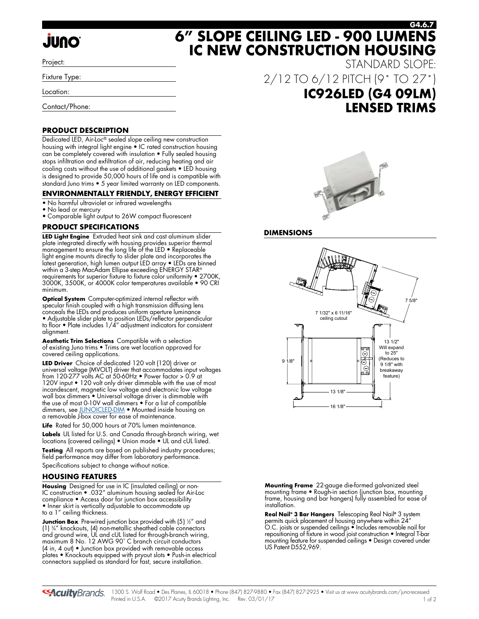# **JUNO**

Project:

Fixture Type:

Location:

Contact/Phone:

### **PRODUCT DESCRIPTION**

Dedicated LED, Air-Loc® sealed slope ceiling new construction housing with integral light engine • IC rated construction housing can be completely covered with insulation • Fully sealed housing stops infiltration and exfiltration of air, reducing heating and air cooling costs without the use of additional gaskets • LED housing is designed to provide 50,000 hours of life and is compatible with standard Juno trims • 5 year limited warranty on LED components.

### **ENVIRONMENTALLY FRIENDLY, ENERGY EFFICIENT**

- No harmful ultraviolet or infrared wavelengths
- No lead or mercury
- Comparable light output to 26W compact fluorescent

### **PRODUCT SPECIFICATIONS**

**LED Light Engine** Extruded heat sink and cast aluminum slider plate integrated directly with housing provides superior thermal management to ensure the long life of the LED • Replaceable light engine mounts directly to slider plate and incorporates the latest generation, high lumen output LED array • LEDs are binned within a 3-step MacAdam Ellipse exceeding ENERGY STAR® requirements for superior fixture to fixture color uniformity • 2700K, 3000K, 3500K, or 4000K color temperatures available • 90 CRI minimum.

**Optical System** Computer-optimized internal reflector with specular finish coupled with a high transmission diffusing lens conceals the LEDs and produces uniform aperture luminance

• Adjustable slider plate to position LEDs/reflector perpendicular to floor • Plate includes 1/4" adjustment indicators for consistent alignment.

**Aesthetic Trim Selections** Compatible with a selection of existing Juno trims • Trims are wet location approved for covered ceiling applications.

**LED Driver** Choice of dedicated 120 volt (120) driver or universal voltage (MVOLT) driver that accommodates input voltages from 120-277 volts AC at 50-60Hz • Power factor > 0.9 at 120V input • 120 volt only driver dimmable with the use of most incandescent, magnetic low voltage and electronic low voltage wall box dimmers • Universal voltage driver is dimmable with the use of most 0-10V wall dimmers • For a list of compatible dimmers, see [JUNOICLED-DIM](http://www.acuitybrands.com/shell/-/media/Files/Acuity/Other/JUNOICLED-DIM.pdf) • Mounted inside housing on a removable J-box cover for ease of maintenance.

**Life** Rated for 50,000 hours at 70% lumen maintenance.

**Labels** UL listed for U.S. and Canada through-branch wiring, wet locations (covered ceilings) • Union made • UL and cUL listed.

**Testing** All reports are based on published industry procedures; field performance may differ from laboratory performance. Specifications subject to change without notice.

### **HOUSING FEATURES**

**Housing** Designed for use in IC (insulated ceiling) or non-IC construction • .032" aluminum housing sealed for Air-Loc compliance • Access door for junction box accessibility • Inner skirt is vertically adjustable to accommodate up to a 1" ceiling thickness.

**Junction Box** Pre-wired junction box provided with (5) ½" and (1) 3 ⁄4" knockouts, (4) non-metallic sheathed cable connectors and ground wire, UL and cUL listed for through-branch wiring, maximum 8 No. 12 AWG 90˚ C branch circuit conductors (4 in, 4 out) • Junction box provided with removable access plates • Knockouts equipped with pryout slots • Push-in electrical connectors supplied as standard for fast, secure installation.

STANDARD SLOPE: 2/12 TO 6/12 PITCH (9˚ TO 27˚) **IC926LED (G4 09LM) LENSED TRIMS**

**G4.6.7**

**6" SLOPE CEILING LED - 900 LUMENS IC NEW CONSTRUCTION HOUSING**



### **DIMENSIONS**



**Mounting Frame** 22-gauge die-formed galvanized steel mounting frame • Rough-in section (junction box, mounting frame, housing and bar hangers) fully assembled for ease of installation.

**Real Nail® 3 Bar Hangers** Telescoping Real Nail**®** 3 system permits quick placement of housing anywhere within 24" O.C. joists or suspended ceilings • Includes removable nail for repositioning of fixture in wood joist construction • Integral T-bar mounting feature for suspended ceilings • Design covered under US Patent D552,969.